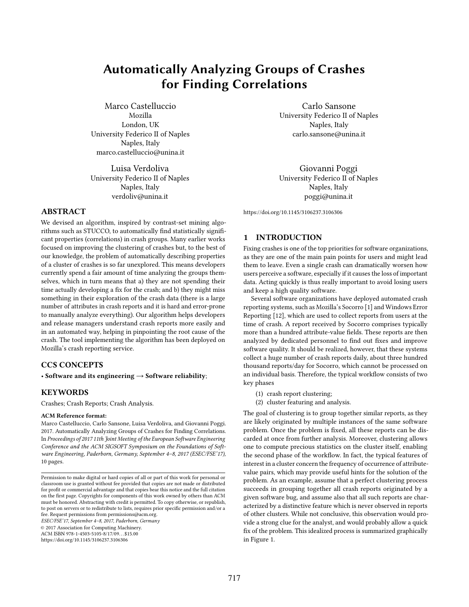# Automatically Analyzing Groups of Crashes for Finding Correlations

Marco Castelluccio Mozilla London, UK University Federico II of Naples Naples, Italy marco.castelluccio@unina.it

Luisa Verdoliva University Federico II of Naples Naples, Italy verdoliv@unina.it

## ABSTRACT

We devised an algorithm, inspired by contrast-set mining algorithms such as STUCCO, to automatically find statistically significant properties (correlations) in crash groups. Many earlier works focused on improving the clustering of crashes but, to the best of our knowledge, the problem of automatically describing properties of a cluster of crashes is so far unexplored. This means developers currently spend a fair amount of time analyzing the groups themselves, which in turn means that a) they are not spending their time actually developing a fix for the crash; and b) they might miss something in their exploration of the crash data (there is a large number of attributes in crash reports and it is hard and error-prone to manually analyze everything). Our algorithm helps developers and release managers understand crash reports more easily and in an automated way, helping in pinpointing the root cause of the crash. The tool implementing the algorithm has been deployed on Mozilla's crash reporting service.

## CCS CONCEPTS

• Software and its engineering  $\rightarrow$  Software reliability;

## **KEYWORDS**

Crashes; Crash Reports; Crash Analysis.

#### ACM Reference format:

Marco Castelluccio, Carlo Sansone, Luisa Verdoliva, and Giovanni Poggi. 2017. Automatically Analyzing Groups of Crashes for Finding Correlations. In Proceedings of 2017 11th Joint Meeting of the European Software Engineering Conference and the ACM SIGSOFT Symposium on the Foundations of Software Engineering, Paderborn, Germany, September 4–8, 2017 (ESEC/FSE'17), [10](#page-9-0) pages.

ESEC/FSE'17, September 4–8, 2017, Paderborn, Germany

© 2017 Association for Computing Machinery.

ACM ISBN 978-1-4503-5105-8/17/09. . . \$15.00

<https://doi.org/10.1145/3106237.3106306>

Carlo Sansone University Federico II of Naples Naples, Italy carlo.sansone@unina.it

Giovanni Poggi University Federico II of Naples Naples, Italy poggi@unina.it

<https://doi.org/10.1145/3106237.3106306>

## 1 INTRODUCTION

Fixing crashes is one of the top priorities for software organizations, as they are one of the main pain points for users and might lead them to leave. Even a single crash can dramatically worsen how users perceive a software, especially if it causes the loss of important data. Acting quickly is thus really important to avoid losing users and keep a high quality software.

Several software organizations have deployed automated crash reporting systems, such as Mozilla's Socorro [\[1\]](#page-8-0) and Windows Error Reporting [\[12\]](#page-8-1), which are used to collect reports from users at the time of crash. A report received by Socorro comprises typically more than a hundred attribute-value fields. These reports are then analyzed by dedicated personnel to find out fixes and improve software quality. It should be realized, however, that these systems collect a huge number of crash reports daily, about three hundred thousand reports/day for Socorro, which cannot be processed on an individual basis. Therefore, the typical workflow consists of two key phases

- (1) crash report clustering;
- (2) cluster featuring and analysis.

The goal of clustering is to group together similar reports, as they are likely originated by multiple instances of the same software problem. Once the problem is fixed, all these reports can be discarded at once from further analysis. Moreover, clustering allows one to compute precious statistics on the cluster itself, enabling the second phase of the workflow. In fact, the typical features of interest in a cluster concern the frequency of occurrence of attributevalue pairs, which may provide useful hints for the solution of the problem. As an example, assume that a perfect clustering process succeeds in grouping together all crash reports originated by a given software bug, and assume also that all such reports are characterized by a distinctive feature which is never observed in reports of other clusters. While not conclusive, this observation would provide a strong clue for the analyst, and would probably allow a quick fix of the problem. This idealized process is summarized graphically in Figure [1.](#page-1-0)

Permission to make digital or hard copies of all or part of this work for personal or classroom use is granted without fee provided that copies are not made or distributed for profit or commercial advantage and that copies bear this notice and the full citation on the first page. Copyrights for components of this work owned by others than ACM must be honored. Abstracting with credit is permitted. To copy otherwise, or republish, to post on servers or to redistribute to lists, requires prior specific permission and/or a fee. Request permissions from permissions@acm.org.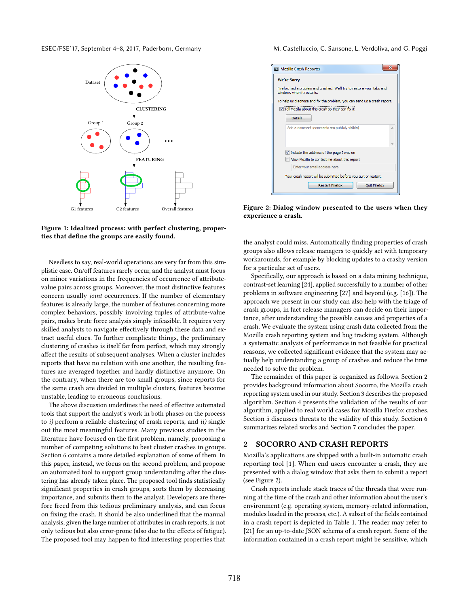<span id="page-1-0"></span>

Figure 1: Idealized process: with perfect clustering, properties that define the groups are easily found.

Needless to say, real-world operations are very far from this simplistic case. On/off features rarely occur, and the analyst must focus on minor variations in the frequencies of occurrence of attributevalue pairs across groups. Moreover, the most distinctive features concern usually joint occurrences. If the number of elementary features is already large, the number of features concerning more complex behaviors, possibly involving tuples of attribute-value pairs, makes brute force analysis simply infeasible. It requires very skilled analysts to navigate effectively through these data and extract useful clues. To further complicate things, the preliminary clustering of crashes is itself far from perfect, which may strongly affect the results of subsequent analyses. When a cluster includes reports that have no relation with one another, the resulting features are averaged together and hardly distinctive anymore. On the contrary, when there are too small groups, since reports for the same crash are divided in multiple clusters, features become unstable, leading to erroneous conclusions.

The above discussion underlines the need of effective automated tools that support the analyst's work in both phases on the process to  $i$ ) perform a reliable clustering of crash reports, and  $ii$ ) single out the most meaningful features. Many previous studies in the literature have focused on the first problem, namely, proposing a number of competing solutions to best cluster crashes in groups. Section [6](#page-7-0) contains a more detailed explanation of some of them. In this paper, instead, we focus on the second problem, and propose an automated tool to support group understanding after the clustering has already taken place. The proposed tool finds statistically significant properties in crash groups, sorts them by decreasing importance, and submits them to the analyst. Developers are therefore freed from this tedious preliminary analysis, and can focus on fixing the crash. It should be also underlined that the manual analysis, given the large number of attributes in crash reports, is not only tedious but also error-prone (also due to the effects of fatigue). The proposed tool may happen to find interesting properties that

<span id="page-1-2"></span>

| Mozilla Crash Reporter                                                                             |  |  |  |
|----------------------------------------------------------------------------------------------------|--|--|--|
| <b>We're Sorry</b>                                                                                 |  |  |  |
| Firefox had a problem and crashed. We'll try to restore your tabs and<br>windows when it restarts. |  |  |  |
| To help us diagnose and fix the problem, you can send us a crash report.                           |  |  |  |
| Tell Mozilla about this crash so they can fix it                                                   |  |  |  |
| <b>Details</b>                                                                                     |  |  |  |
| Add a comment (comments are publicly visible)                                                      |  |  |  |
|                                                                                                    |  |  |  |
|                                                                                                    |  |  |  |
| V Include the address of the page I was on                                                         |  |  |  |
| Allow Mozilla to contact me about this report                                                      |  |  |  |
| Enter your email address here                                                                      |  |  |  |
| Your crash report will be submitted before you quit or restart.                                    |  |  |  |
| <b>Restart Firefox</b><br><b>Quit Firefox</b>                                                      |  |  |  |

Figure 2: Dialog window presented to the users when they experience a crash.

the analyst could miss. Automatically finding properties of crash groups also allows release managers to quickly act with temporary workarounds, for example by blocking updates to a crashy version for a particular set of users.

Specifically, our approach is based on a data mining technique, contrast-set learning [\[24\]](#page-9-1), applied successfully to a number of other problems in software engineering [\[27\]](#page-9-2) and beyond (e.g. [\[16\]](#page-9-3)). The approach we present in our study can also help with the triage of crash groups, in fact release managers can decide on their importance, after understanding the possible causes and properties of a crash. We evaluate the system using crash data collected from the Mozilla crash reporting system and bug tracking system. Although a systematic analysis of performance in not feasible for practical reasons, we collected significant evidence that the system may actually help understanding a group of crashes and reduce the time needed to solve the problem.

The remainder of this paper is organized as follows. Section [2](#page-1-1) provides background information about Socorro, the Mozilla crash reporting system used in our study. Section [3](#page-2-0) describes the proposed algorithm. Section [4](#page-6-0) presents the validation of the results of our algorithm, applied to real world cases for Mozilla Firefox crashes. Section [5](#page-7-1) discusses threats to the validity of this study. Section [6](#page-7-0) summarizes related works and Section [7](#page-8-2) concludes the paper.

## <span id="page-1-1"></span>2 SOCORRO AND CRASH REPORTS

Mozilla's applications are shipped with a built-in automatic crash reporting tool [\[1\]](#page-8-0). When end users encounter a crash, they are presented with a dialog window that asks them to submit a report (see Figure [2\)](#page-1-2).

Crash reports include stack traces of the threads that were running at the time of the crash and other information about the user's environment (e.g. operating system, memory-related information, modules loaded in the process, etc.). A subset of the fields contained in a crash report is depicted in Table [1.](#page-2-1) The reader may refer to [\[21\]](#page-9-4) for an up-to-date JSON schema of a crash report. Some of the information contained in a crash report might be sensitive, which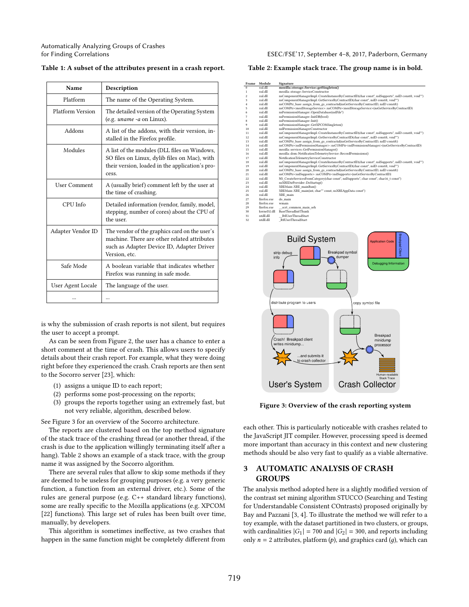Automatically Analyzing Groups of Crashes

<span id="page-2-1"></span>

| Table 1: A subset of the attributes present in a crash report. |  |  |  |  |  |  |  |  |
|----------------------------------------------------------------|--|--|--|--|--|--|--|--|
|----------------------------------------------------------------|--|--|--|--|--|--|--|--|

| Name                | Description                                                                                                                                                |  |
|---------------------|------------------------------------------------------------------------------------------------------------------------------------------------------------|--|
| Platform            | The name of the Operating System.                                                                                                                          |  |
| Platform Version    | The detailed version of the Operating System<br>(e.g. <i>uname -a</i> on Linux).                                                                           |  |
| Addons              | A list of the addons, with their version, in-<br>stalled in the Firefox profile.                                                                           |  |
| Modules             | A list of the modules (DLL files on Windows,<br>SO files on Linux, dylib files on Mac), with<br>their version, loaded in the application's pro-<br>cess.   |  |
| <b>User Comment</b> | A (usually brief) comment left by the user at<br>the time of crashing.                                                                                     |  |
| CPU Info            | Detailed information (vendor, family, model,<br>stepping, number of cores) about the CPU of<br>the user.                                                   |  |
| Adapter Vendor ID   | The vendor of the graphics card on the user's<br>machine. There are other related attributes<br>such as Adapter Device ID, Adapter Driver<br>Version, etc. |  |
| Safe Mode           | A boolean variable that indicates whether<br>Firefox was running in safe mode.                                                                             |  |
| User Agent Locale   | The language of the user.                                                                                                                                  |  |
|                     |                                                                                                                                                            |  |

is why the submission of crash reports is not silent, but requires the user to accept a prompt.

As can be seen from Figure [2,](#page-1-2) the user has a chance to enter a short comment at the time of crash. This allows users to specify details about their crash report. For example, what they were doing right before they experienced the crash. Crash reports are then sent to the Socorro server [\[23\]](#page-9-5), which:

- (1) assigns a unique ID to each report;
- (2) performs some post-processing on the reports;
- (3) groups the reports together using an extremely fast, but not very reliable, algorithm, described below.

See Figure [3](#page-2-2) for an overview of the Socorro architecture.

The reports are clustered based on the top method signature of the stack trace of the crashing thread (or another thread, if the crash is due to the application willingly terminating itself after a hang). Table [2](#page-2-3) shows an example of a stack trace, with the group name it was assigned by the Socorro algorithm.

There are several rules that allow to skip some methods if they are deemed to be useless for grouping purposes (e.g. a very generic function, a function from an external driver, etc.). Some of the rules are general purpose (e.g. C++ standard library functions), some are really specific to the Mozilla applications (e.g. XPCOM [\[22\]](#page-9-6) functions). This large set of rules has been built over time, manually, by developers.

This algorithm is sometimes ineffective, as two crashes that happen in the same function might be completely different from

#### for Finding Correlations ESEC/FSE'17, September 4–8, 2017, Paderborn, Germany

#### <span id="page-2-3"></span>Table 2: Example stack trace. The group name is in bold.

| n<br>ī<br>$\overline{2}$<br>3<br>4<br>5<br>6<br>7 | xul.dll<br>xul.dll<br>xul.dll<br>xul.dll | mozilla::storage::Service::getSingleton()<br>mozilla::storage::ServiceConstructor                                                                                                      |
|---------------------------------------------------|------------------------------------------|----------------------------------------------------------------------------------------------------------------------------------------------------------------------------------------|
|                                                   |                                          |                                                                                                                                                                                        |
|                                                   |                                          |                                                                                                                                                                                        |
|                                                   |                                          | nsComponentManagerImpl::CreateInstanceByContractID(char const*, nsISupports*, nsID const&, void**)                                                                                     |
|                                                   |                                          | nsComponentManagerImpl::GetServiceByContractID(char const*, nsID const&, void**)                                                                                                       |
|                                                   | xul.dll                                  | nsCOMPtr base::assign from gs contractid(nsGetServiceByContractID, nsID const&)                                                                                                        |
|                                                   | sul dll                                  | nsCOMPtr <mozistorageservice>::nsCOMPtr<mozistorageservice>(nsGetServiceByContractID)</mozistorageservice></mozistorageservice>                                                        |
|                                                   | xul.dll                                  | nsPermissionManager::OpenDatabase(nsIFile*)                                                                                                                                            |
|                                                   | xul dll                                  | nsPermissionManager::InitDB(bool)                                                                                                                                                      |
| 8                                                 | xul.dll                                  | nsPermissionManager::Init()                                                                                                                                                            |
| 9                                                 | sul dll                                  | nsPermissionManager::GetXPCOMSingleton()                                                                                                                                               |
| 10                                                | xul.dll<br>xul.dll                       | nslPermissionManagerConstructor                                                                                                                                                        |
| 11<br>12                                          | xul.dll                                  | nsComponentManagerImpl::CreateInstanceByContractID(char const*, nsISupports*, nsID const&, void**)<br>nsComponentManagerImpl::GetServiceByContractID(char const*, nsID const&, void**) |
| 13                                                | xul.dll                                  | nsCOMPtr base::assign from gs contractid(nsGetServiceByContractID, nsID const&)                                                                                                        |
| 14                                                | xul.dll                                  | nsCOMPtr <nsipermissionmanager>::nsCOMPtr<nsipermissionmanager>(nsGetServiceByContractID)</nsipermissionmanager></nsipermissionmanager>                                                |
| 15                                                | xul.dll                                  | mozilla::services::GetPermissionManager()                                                                                                                                              |
| 16                                                | xul.dll                                  | mozilla::dom::NotificationTelemetryService::RecordPermissions()                                                                                                                        |
| 17                                                | xul.dll                                  | NotificationTelemetryServiceConstructor                                                                                                                                                |
| 18                                                | xul.dll                                  | nsComponentManagerImpl::CreateInstanceByContractID(char const*, nsISupports*, nsID const&, void**)                                                                                     |
| 19                                                | xul.dll                                  | nsComponentManagerImpl::GetServiceByContractID(char const*, nsID const&, void**)                                                                                                       |
| 20                                                | xul.dll                                  | nsCOMPtr base::assign from gs contractid(nsGetServiceByContractID, nsID const&)                                                                                                        |
| 21                                                | xul.dll                                  | nsCOMPtr <nsisupports>::nsCOMPtr<nsisupports>(nsGetServiceByContractID)</nsisupports></nsisupports>                                                                                    |
| 22                                                | xul dll                                  | NS_CreateServicesFromCategory(char const*, nsISupports*, char const*, char16_t const*)                                                                                                 |
| 23                                                | xul.dll                                  | nsXREDirProvider::DoStartup()                                                                                                                                                          |
| 24                                                | xul.dll                                  | XREMain::XRE mainRun()                                                                                                                                                                 |
| 25                                                | xul.dll                                  | XREMain::XRE_main(int, char** const, nsXREAppData const*)                                                                                                                              |
| 26<br>27                                          | xul.dll<br>firefox.exe                   | XRE main<br>do main                                                                                                                                                                    |
| 28                                                | firefox.exe                              | wmain                                                                                                                                                                                  |
| 29                                                | firefox.exe                              | scrt common main seh                                                                                                                                                                   |
| 30                                                | kernel32.dll                             | BaseThreadInitThunk                                                                                                                                                                    |
| 31                                                | ntdll.dll                                | RtIUserThreadStart                                                                                                                                                                     |
| 32                                                | ntdll.dll                                | RtlUserThreadStart                                                                                                                                                                     |
|                                                   | info                                     | <b>Breakpad Client</b><br><b>Build System</b><br><b>Application Code</b><br><b>Breakpad symbol</b><br>strip debug<br>dumper<br>Debugging Information                                   |
|                                                   |                                          | distribute program to users<br>copy symbol file                                                                                                                                        |

<span id="page-2-2"></span>

Figure 3: Overview of the crash reporting system

each other. This is particularly noticeable with crashes related to the JavaScript JIT compiler. However, processing speed is deemed more important than accuracy in this context and new clustering methods should be also very fast to qualify as a viable alternative.

## <span id="page-2-0"></span>3 AUTOMATIC ANALYSIS OF CRASH GROUPS

The analysis method adopted here is a slightly modified version of the contrast set mining algorithm STUCCO (Searching and Testing for Understandable Consistent COntrasts) proposed originally by Bay and Pazzani [\[3,](#page-8-3) [4\]](#page-8-4). To illustrate the method we will refer to a toy example, with the dataset partitioned in two clusters, or groups, with cardinalities  $|G_1| = 700$  and  $|G_2| = 300$ , and reports including only  $n = 2$  attributes, platform  $(p)$ , and graphics card  $(q)$ , which can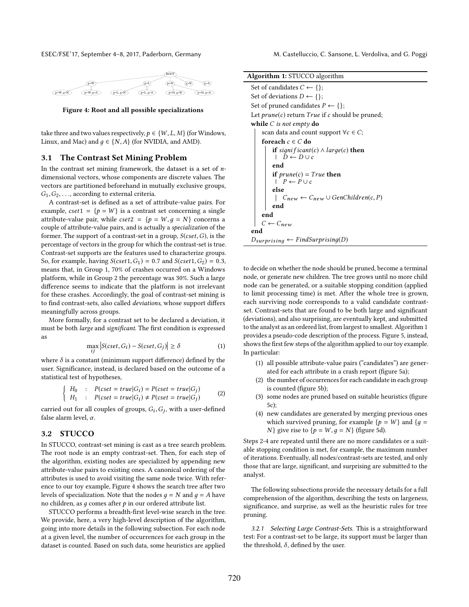<span id="page-3-0"></span>

Figure 4: Root and all possible specializations

take three and two values respectively,  $p \in \{W, L, M\}$  (for Windows, Linux, and Mac) and  $q \in \{N, A\}$  (for NVIDIA, and AMD).

### 3.1 The Contrast Set Mining Problem

In the contrast set mining framework, the dataset is a set of  $n$ dimensional vectors, whose components are discrete values. The vectors are partitioned beforehand in mutually exclusive groups,  $G_1, G_2, \ldots$ , according to external criteria.

A contrast-set is defined as a set of attribute-value pairs. For example,  $cset1 = \{p = W\}$  is a contrast set concerning a single attribute-value pair, while  $cset2 = \{p = W, g = N\}$  concerns a couple of attribute-value pairs, and is actually a specialization of the former. The support of a contrast-set in a group,  $S(cset, G)$ , is the percentage of vectors in the group for which the contrast-set is true. Contrast-set supports are the features used to characterize groups. So, for example, having  $S(cset1, G_1) = 0.7$  and  $S(cset1, G_2) = 0.3$ , means that, in Group 1, 70% of crashes occurred on a Windows platform, while in Group 2 the percentage was 30%. Such a large difference seems to indicate that the platform is not irrelevant for these crashes. Accordingly, the goal of contrast-set mining is to find contrast-sets, also called deviations, whose support differs meaningfully across groups.

More formally, for a contrast set to be declared a deviation, it must be both large and significant. The first condition is expressed as

$$
\max_{ij} |S(cset, G_i) - S(cset, G_j)| \ge \delta
$$
 (1)

where  $\delta$  is a constant (minimum support difference) defined by the user Significance instead is declared based on the outcome of a user. Significance, instead, is declared based on the outcome of a statistical test of hypotheses,

<span id="page-3-2"></span>
$$
\begin{cases}\nH_0: P(cset = true | G_i) = P(cset = true | G_j) \\
H_1: P(cset = true | G_i) \neq P(cset = true | G_j)\n\end{cases}
$$
\n(2)

carried out for all couples of groups,  $G_i, G_j$ , with a user-defined false alarm level  $\alpha$ false alarm level,  $\alpha$ .

## 3.2 STUCCO

In STUCCO, contrast-set mining is cast as a tree search problem. The root node is an empty contrast-set. Then, for each step of the algorithm, existing nodes are specialized by appending new attribute-value pairs to existing ones. A canonical ordering of the attributes is used to avoid visiting the same node twice. With reference to our toy example, Figure [4](#page-3-0) shows the search tree after two levels of specialization. Note that the nodes  $q = N$  and  $q = A$  have no children, as  $q$  comes after  $p$  in our ordered attribute list.

STUCCO performs a breadth-first level-wise search in the tree. We provide, here, a very high-level description of the algorithm, going into more details in the following subsection. For each node at a given level, the number of occurrences for each group in the dataset is counted. Based on such data, some heuristics are applied

| <b>Algorithm 1: STUCCO</b> algorithm                                                   |  |  |  |
|----------------------------------------------------------------------------------------|--|--|--|
| Set of candidates $C \leftarrow \{\}$ ;                                                |  |  |  |
| Set of deviations $D \leftarrow \{\};$                                                 |  |  |  |
| Set of pruned candidates $P \leftarrow \{\};$                                          |  |  |  |
| Let $prune(c)$ return $True$ if c should be pruned;                                    |  |  |  |
| while $C$ is not empty do                                                              |  |  |  |
| scan data and count support $\forall c \in C$ ;                                        |  |  |  |
| foreach $c \in C$ do                                                                   |  |  |  |
| <b>if</b> significant(c) $\land$ large(c) <b>then</b><br>$\vert D \leftarrow D \cup c$ |  |  |  |
| end                                                                                    |  |  |  |
| <b>if</b> $prune(c) = True$ then<br>$P \leftarrow P \cup c$                            |  |  |  |
| else                                                                                   |  |  |  |
| $\vert$ $C_{new} \leftarrow C_{new} \cup GenChildren(c, P)$                            |  |  |  |
| end                                                                                    |  |  |  |
| end                                                                                    |  |  |  |
| $C \leftarrow C_{new}$                                                                 |  |  |  |
| end                                                                                    |  |  |  |
| $D_{surprising} \leftarrow FindSurprising(D)$                                          |  |  |  |

<span id="page-3-1"></span>to decide on whether the node should be pruned, become a terminal node, or generate new children. The tree grows until no more child node can be generated, or a suitable stopping condition (applied to limit processing time) is met. After the whole tree is grown, each surviving node corresponds to a valid candidate contrastset. Contrast-sets that are found to be both large and significant (deviations), and also surprising, are eventually kept, and submitted to the analyst as an ordered list, from largest to smallest. Algorithm [1](#page-3-1) provides a pseudo-code description of the process. Figure [5,](#page-4-0) instead, shows the first few steps of the algorithm applied to our toy example. In particular:

- (1) all possible attribute-value pairs ("candidates") are generated for each attribute in a crash report (figure [5a\)](#page-4-1);
- (2) the number of occurrences for each candidate in each group is counted (figure [5b\)](#page-4-2);
- (3) some nodes are pruned based on suitable heuristics (figure [5c\)](#page-4-3);
- (4) new candidates are generated by merging previous ones which survived pruning, for example  $\{p = W\}$  and  $\{q =$ N} give rise to  $\{p = W, g = N\}$  (figure [5d\)](#page-4-4).

Steps 2-4 are repeated until there are no more candidates or a suitable stopping condition is met, for example, the maximum number of iterations. Eventually, all nodes/contrast-sets are tested, and only those that are large, significant, and surprising are submitted to the analyst.

The following subsections provide the necessary details for a full comprehension of the algorithm, describing the tests on largeness, significance, and surprise, as well as the heuristic rules for tree pruning.

3.2.1 Selecting Large Contrast-Sets. This is a straightforward test: For a contrast-set to be large, its support must be larger than the threshold,  $\delta$ , defined by the user.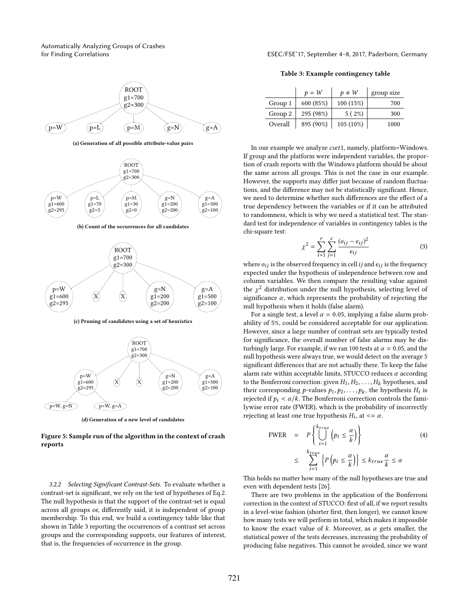Automatically Analyzing Groups of Crashes

<span id="page-4-1"></span><span id="page-4-0"></span>

(a) Generation of all possible attribute-value pairs

<span id="page-4-2"></span>

(b) Count of the occurrences for all candidates

<span id="page-4-3"></span>

(c) Pruning of candidates using a set of heuristics

<span id="page-4-4"></span>

(d) Generation of a new level of candidates

Figure 5: Sample run of the algorithm in the context of crash reports

3.2.2 Selecting Significant Contrast-Sets. To evaluate whether a contrast-set is significant, we rely on the test of hypotheses of Eq[.2.](#page-3-2) The null hypothesis is that the support of the contrast-set is equal across all groups or, differently said, it is independent of group membership. To this end, we build a contingency table like that shown in Table [3](#page-4-5) reporting the occurrences of a contrast set across groups and the corresponding supports, our features of interest, that is, the frequencies of occurrence in the group.

for Finding Correlations ESEC/FSE'17, September 4–8, 2017, Paderborn, Germany

Table 3: Example contingency table

<span id="page-4-5"></span>

|         | $p = W$   | $p \neq W$  | group size |
|---------|-----------|-------------|------------|
| Group 1 | 600 (85%) | 100(15%)    | 700        |
| Group 2 | 295 (98%) | 5(2%)       | 300        |
| Overall | 895 (90%) | $105(10\%)$ | 1000       |

In our example we analyze cset1, namely, platform=Windows. If group and the platform were independent variables, the proportion of crash reports with the Windows platform should be about the same across all groups. This is not the case in our example. However, the supports may differ just because of random fluctuations, and the difference may not be statistically significant. Hence, we need to determine whether such differences are the effect of a true dependency between the variables or if it can be attributed to randomness, which is why we need a statistical test. The standard test for independence of variables in contingency tables is the chi-square test:

$$
\chi^{2} = \sum_{i=1}^{r} \sum_{j=1}^{c} \frac{(o_{ij} - e_{ij})^{2}}{e_{ij}}
$$
(3)

where  $o_{ij}$  is the observed frequency in cell *ij* and  $e_{ij}$  is the frequency<br>expected under the hypothesis of independence between row and expected under the hypothesis of independence between row and column variables. We then compare the resulting value against the  $\chi^2$  distribution under the null hypothesis, selecting level of eigenficance  $\alpha$ , which represents the probability of rejecting the significance  $\alpha$ , which represents the probability of rejecting the null hypothesis when it holds (false alarm).

For a single test, a level  $\alpha = 0.05$ , implying a false alarm probability of 5%, could be considered acceptable for our application. However, since a large number of contrast sets are typically tested for significance, the overall number of false alarms may be disturbingly large. For example, if we ran 100 tests at  $\alpha = 0.05$ , and the null hypothesis were always true, we would detect on the average 5 significant differences that are not actually there. To keep the false alarm rate within acceptable limits, STUCCO reduces  $\alpha$  according to the Bonferroni correction: given  $H_1, H_2, \ldots, H_k$  hypotheses, and their corresponding *p*-values  $p_1, p_2, \ldots, p_k$ , the hypothesis  $H_i$  is<br>rejected if  $p_i < \alpha/k$ . The Bonferroni correction controls the famirejected if  $p_i < \alpha/k$ . The Bonferroni correction controls the familywise error rate (FWER), which is the probability of incorrectly rejecting at least one true hypothesis  $H_i$ , at  $\lt = \alpha$ .

$$
\begin{aligned}\n\text{FWER} &= P\left\{\bigcup_{i=1}^{k_{true}} \left(p_i \le \frac{\alpha}{k}\right)\right\} \\
&\le \sum_{i=1}^{k_{true}} \left\{P\left(p_i \le \frac{\alpha}{k}\right)\right\} \le k_{true} \frac{\alpha}{k} \le \alpha\n\end{aligned} \tag{4}
$$

This holds no matter how many of the null hypotheses are true and even with dependent tests [\[26\]](#page-9-7).

There are two problems in the application of the Bonferroni correction in the context of STUCCO: first of all, if we report results in a level-wise fashion (shorter first, then longer), we cannot know how many tests we will perform in total, which makes it impossible to know the exact value of k. Moreover, as  $\alpha$  gets smaller, the statistical power of the tests decreases, increasing the probability of producing false negatives. This cannot be avoided, since we want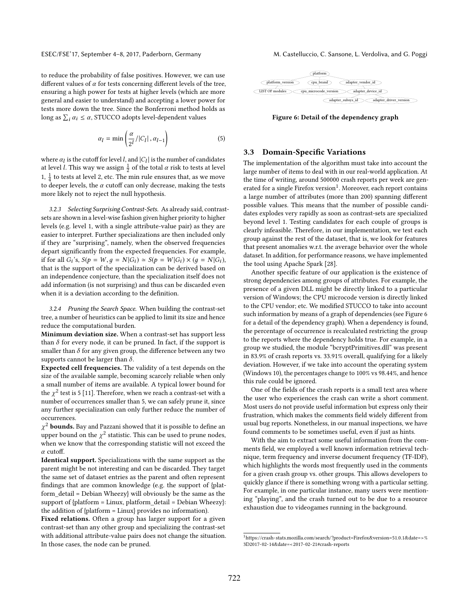to reduce the probability of false positives. However, we can use different values of  $\alpha$  for tests concerning different levels of the tree, ensuring a high power for tests at higher levels (which are more general and easier to understand) and accepting a lower power for tests more down the tree. Since the Bonferroni method holds as long as  $\sum_i \alpha_i \leq \alpha$ , STUCCO adopts level-dependent values

$$
\alpha_l = \min\left(\frac{\alpha}{2^l}/|C_l|, \alpha_{l-1}\right) \tag{5}
$$

where  $\alpha_l$  is the cutoff for level l, and  $|C_l|$  is the number of candidates at level l. This way we assign  $\frac{1}{2}$  of the total  $\alpha$  risk to tests at level at level *l*. This way we assign  $\frac{1}{2}$  of the total *α* risk to tests at level<br>1, <sup>1</sup> to tests at level 2, at a The min wels answers that as we were 1,  $\frac{1}{4}$  to tests at level 2, etc. The min rule ensures that, as we move to deeper levels, the  $\alpha$  cutoff can only decrease, making the tests more likely not to reject the null hypothesis.

3.2.3 Selecting Surprising Contrast-Sets. As already said, contrastsets are shown in a level-wise fashion given higher priority to higher levels (e.g. level 1, with a single attribute-value pair) as they are easier to interpret. Further specializations are then included only if they are "surprising", namely, when the observed frequencies depart significantly from the expected frequencies. For example, if for all  $G_i$ 's,  $S(p = W, g = N | G_i) \approx S(p = W | G_i) \times (g = N | G_i)$ ,<br>that is the support of the specialization can be derived based on that is the support of the specialization can be derived based on an independence conjecture, than the specialization itself does not add information (is not surprising) and thus can be discarded even when it is a deviation according to the definition.

3.2.4 Pruning the Search Space. When building the contrast-set tree, a number of heuristics can be applied to limit its size and hence reduce the computational burden.

Minimum deviation size. When a contrast-set has support less than  $\delta$  for every node, it can be pruned. In fact, if the support is smaller than  $\delta$  for any given group, the difference between any two supports cannot be larger than  $\delta$ .

Expected cell frequencies. The validity of a test depends on the size of the available sample, becoming scarcely reliable when only a small number of items are available. A typical lower bound for the  $\chi^2$  test is 5 [\[11\]](#page-8-5). Therefore, when we reach a contrast-set with a number of occurrences smaller than 5, we can safely prune it, since number of occurrences smaller than 5, we can safely prune it, since any further specialization can only further reduce the number of occurrences.

where bound on the  $\chi^2$  statistic. This can be used to prune nodes,<br>when we know that the corresponding statistic will not exceed the  $\chi^2$  bounds. Bay and Pazzani showed that it is possible to define an when we know that the corresponding statistic will not exceed the α cutoff.

Identical support. Specializations with the same support as the parent might be not interesting and can be discarded. They target the same set of dataset entries as the parent and often represent findings that are common knowledge (e.g. the support of {platform\_detail = Debian Wheezy} will obviously be the same as the support of {platform = Linux, platform\_detail = Debian Wheezy}: the addition of {platform = Linux} provides no information).

Fixed relations. Often a group has larger support for a given contrast-set than any other group and specializing the contrast-set with additional attribute-value pairs does not change the situation. In those cases, the node can be pruned.

<span id="page-5-1"></span>

Figure 6: Detail of the dependency graph

## 3.3 Domain-Specific Variations

The implementation of the algorithm must take into account the large number of items to deal with in our real-world application. At the time of writing, around 500000 crash reports per week are gen-erated for a single Firefox version<sup>[1](#page-5-0)</sup>. Moreover, each report contains a large number of attributes (more than 200) spanning different possible values. This means that the number of possible candidates explodes very rapidly as soon as contrast-sets are specialized beyond level 1. Testing candidates for each couple of groups is clearly infeasible. Therefore, in our implementation, we test each group against the rest of the dataset, that is, we look for features that present anomalies w.r.t. the average behavior over the whole dataset. In addition, for performance reasons, we have implemented the tool using Apache Spark [\[28\]](#page-9-8).

Another specific feature of our application is the existence of strong dependencies among groups of attributes. For example, the presence of a given DLL might be directly linked to a particular version of Windows; the CPU microcode version is directly linked to the CPU vendor; etc. We modified STUCCO to take into account such information by means of a graph of dependencies (see Figure [6](#page-5-1) for a detail of the dependency graph). When a dependency is found, the percentage of occurrence is recalculated restricting the group to the reports where the dependency holds true. For example, in a group we studied, the module "bcryptPrimitives.dll" was present in 83.9% of crash reports vs. 33.91% overall, qualifying for a likely deviation. However, if we take into account the operating system (Windows 10), the percentages change to 100% vs 98.44%, and hence this rule could be ignored.

One of the fields of the crash reports is a small text area where the user who experiences the crash can write a short comment. Most users do not provide useful information but express only their frustration, which makes the comments field widely different from usual bug reports. Nonetheless, in our manual inspections, we have found comments to be sometimes useful, even if just as hints.

With the aim to extract some useful information from the comments field, we employed a well known information retrieval technique, term frequency and inverse document frequency (TF-IDF), which highlights the words most frequently used in the comments for a given crash group vs. other groups. This allows developers to quickly glance if there is something wrong with a particular setting. For example, in one particular instance, many users were mentioning "playing", and the crash turned out to be due to a resource exhaustion due to videogames running in the background.

<span id="page-5-0"></span><sup>1</sup>[https://crash-stats.mozilla.com/search/?product=Firefox&version=51.0.1&date=>%](https://crash-stats.mozilla.com/search/?product=Firefox&version=51.0.1&date=>%3D2017-02-14&date=<2017-02-21#crash-reports) [3D2017-02-14&date=<2017-02-21#crash-reports](https://crash-stats.mozilla.com/search/?product=Firefox&version=51.0.1&date=>%3D2017-02-14&date=<2017-02-21#crash-reports)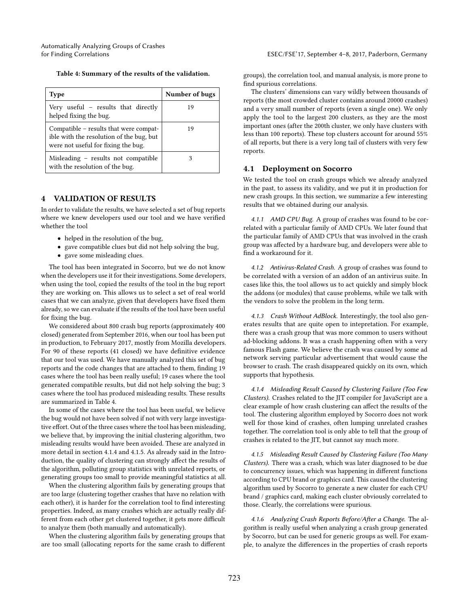<span id="page-6-1"></span>

| <b>Type</b>                                                                                                               | Number of bugs |
|---------------------------------------------------------------------------------------------------------------------------|----------------|
| Very useful – results that directly<br>helped fixing the bug.                                                             | 19             |
| Compatible - results that were compat-<br>ible with the resolution of the bug, but<br>were not useful for fixing the bug. | 19             |
| Misleading – results not compatible<br>with the resolution of the bug.                                                    |                |

## <span id="page-6-0"></span>4 VALIDATION OF RESULTS

In order to validate the results, we have selected a set of bug reports where we knew developers used our tool and we have verified whether the tool

- helped in the resolution of the bug,
- gave compatible clues but did not help solving the bug,
- gave some misleading clues.

The tool has been integrated in Socorro, but we do not know when the developers use it for their investigations. Some developers, when using the tool, copied the results of the tool in the bug report they are working on. This allows us to select a set of real world cases that we can analyze, given that developers have fixed them already, so we can evaluate if the results of the tool have been useful for fixing the bug.

We considered about 800 crash bug reports (approximately 400 closed) generated from September 2016, when our tool has been put in production, to February 2017, mostly from Mozilla developers. For 90 of these reports (41 closed) we have definitive evidence that our tool was used. We have manually analyzed this set of bug reports and the code changes that are attached to them, finding 19 cases where the tool has been really useful; 19 cases where the tool generated compatible results, but did not help solving the bug; 3 cases where the tool has produced misleading results. These results are summarized in Table [4.](#page-6-1)

In some of the cases where the tool has been useful, we believe the bug would not have been solved if not with very large investigative effort. Out of the three cases where the tool has been misleading, we believe that, by improving the initial clustering algorithm, two misleading results would have been avoided. These are analyzed in more detail in section [4.1.4](#page-6-2) and [4.1.5.](#page-6-3) As already said in the Introduction, the quality of clustering can strongly affect the results of the algorithm, polluting group statistics with unrelated reports, or generating groups too small to provide meaningful statistics at all.

When the clustering algorithm fails by generating groups that are too large (clustering together crashes that have no relation with each other), it is harder for the correlation tool to find interesting properties. Indeed, as many crashes which are actually really different from each other get clustered together, it gets more difficult to analyze them (both manually and automatically).

When the clustering algorithm fails by generating groups that are too small (allocating reports for the same crash to different

groups), the correlation tool, and manual analysis, is more prone to find spurious correlations.

The clusters' dimensions can vary wildly between thousands of reports (the most crowded cluster contains around 20000 crashes) and a very small number of reports (even a single one). We only apply the tool to the largest 200 clusters, as they are the most important ones (after the 200th cluster, we only have clusters with less than 100 reports). These top clusters account for around 55% of all reports, but there is a very long tail of clusters with very few reports.

#### 4.1 Deployment on Socorro

We tested the tool on crash groups which we already analyzed in the past, to assess its validity, and we put it in production for new crash groups. In this section, we summarize a few interesting results that we obtained during our analysis.

4.1.1 AMD CPU Bug. A group of crashes was found to be correlated with a particular family of AMD CPUs. We later found that the particular family of AMD CPUs that was involved in the crash group was affected by a hardware bug, and developers were able to find a workaround for it.

4.1.2 Antivirus-Related Crash. A group of crashes was found to be correlated with a version of an addon of an antivirus suite. In cases like this, the tool allows us to act quickly and simply block the addons (or modules) that cause problems, while we talk with the vendors to solve the problem in the long term.

4.1.3 Crash Without AdBlock. Interestingly, the tool also generates results that are quite open to intepretation. For example, there was a crash group that was more common to users without ad-blocking addons. It was a crash happening often with a very famous Flash game. We believe the crash was caused by some ad network serving particular advertisement that would cause the browser to crash. The crash disappeared quickly on its own, which supports that hypothesis.

<span id="page-6-2"></span>4.1.4 Misleading Result Caused by Clustering Failure (Too Few Clusters). Crashes related to the JIT compiler for JavaScript are a clear example of how crash clustering can affect the results of the tool. The clustering algorithm employed by Socorro does not work well for those kind of crashes, often lumping unrelated crashes together. The correlation tool is only able to tell that the group of crashes is related to the JIT, but cannot say much more.

<span id="page-6-3"></span>4.1.5 Misleading Result Caused by Clustering Failure (Too Many Clusters). There was a crash, which was later diagnosed to be due to concurrency issues, which was happening in different functions according to CPU brand or graphics card. This caused the clustering algorithm used by Socorro to generate a new cluster for each CPU brand / graphics card, making each cluster obviously correlated to those. Clearly, the correlations were spurious.

4.1.6 Analyzing Crash Reports Before/After a Change. The algorithm is really useful when analyzing a crash group generated by Socorro, but can be used for generic groups as well. For example, to analyze the differences in the properties of crash reports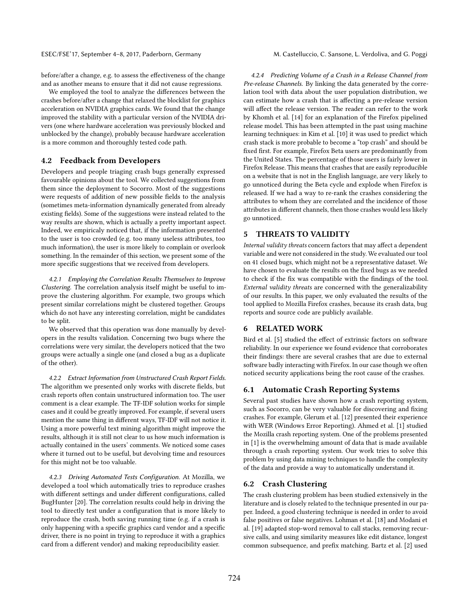before/after a change, e.g. to assess the effectiveness of the change and as another means to ensure that it did not cause regressions.

We employed the tool to analyze the differences between the crashes before/after a change that relaxed the blocklist for graphics acceleration on NVIDIA graphics cards. We found that the change improved the stability with a particular version of the NVIDIA drivers (one where hardware acceleration was previously blocked and unblocked by the change), probably because hardware acceleration is a more common and thoroughly tested code path.

## 4.2 Feedback from Developers

Developers and people triaging crash bugs generally expressed favourable opinions about the tool. We collected suggestions from them since the deployment to Socorro. Most of the suggestions were requests of addition of new possible fields to the analysis (sometimes meta-information dynamically generated from already existing fields). Some of the suggestions were instead related to the way results are shown, which is actually a pretty important aspect. Indeed, we empiricaly noticed that, if the information presented to the user is too crowded (e.g. too many useless attributes, too much information), the user is more likely to complain or overlook something. In the remainder of this section, we present some of the more specific suggestions that we received from developers.

4.2.1 Employing the Correlation Results Themselves to Improve Clustering. The correlation analysis itself might be useful to improve the clustering algorithm. For example, two groups which present similar correlations might be clustered together. Groups which do not have any interesting correlation, might be candidates to be split.

We observed that this operation was done manually by developers in the results validation. Concerning two bugs where the correlations were very similar, the developers noticed that the two groups were actually a single one (and closed a bug as a duplicate of the other).

4.2.2 Extract Information from Unstructured Crash Report Fields. The algorithm we presented only works with discrete fields, but crash reports often contain unstructured information too. The user comment is a clear example. The TF-IDF solution works for simple cases and it could be greatly improved. For example, if several users mention the same thing in different ways, TF-IDF will not notice it. Using a more powerful text mining algorithm might improve the results, although it is still not clear to us how much information is actually contained in the users' comments. We noticed some cases where it turned out to be useful, but devolving time and resources for this might not be too valuable.

4.2.3 Driving Automated Tests Configuration. At Mozilla, we developed a tool which automatically tries to reproduce crashes with different settings and under different configurations, called BugHunter [\[20\]](#page-9-9). The correlation results could help in driving the tool to directly test under a configuration that is more likely to reproduce the crash, both saving running time (e.g. if a crash is only happening with a specific graphics card vendor and a specific driver, there is no point in trying to reproduce it with a graphics card from a different vendor) and making reproducibility easier.

4.2.4 Predicting Volume of a Crash in a Release Channel from Pre-release Channels. By linking the data generated by the correlation tool with data about the user population distribution, we can estimate how a crash that is affecting a pre-release version will affect the release version. The reader can refer to the work by Khomh et al. [\[14\]](#page-8-6) for an explanation of the Firefox pipelined release model. This has been attempted in the past using machine learning techniques: in Kim et al. [\[10\]](#page-8-7) it was used to predict which crash stack is more probable to become a "top crash" and should be fixed first. For example, Firefox Beta users are predominantly from the United States. The percentage of those users is fairly lower in Firefox Release. This means that crashes that are easily reproducible on a website that is not in the English language, are very likely to go unnoticed during the Beta cycle and explode when Firefox is released. If we had a way to re-rank the crashes considering the attributes to whom they are correlated and the incidence of those attributes in different channels, then those crashes would less likely go unnoticed.

## <span id="page-7-1"></span>5 THREATS TO VALIDITY

Internal validity threats concern factors that may affect a dependent variable and were not considered in the study. We evaluated our tool on 41 closed bugs, which might not be a representative dataset. We have chosen to evaluate the results on the fixed bugs as we needed to check if the fix was compatible with the findings of the tool. External validity threats are concerned with the generalizability of our results. In this paper, we only evaluated the results of the tool applied to Mozilla Firefox crashes, because its crash data, bug reports and source code are publicly available.

## <span id="page-7-0"></span>6 RELATED WORK

Bird et al. [\[5\]](#page-8-8) studied the effect of extrinsic factors on software reliability. In our experience we found evidence that corroborates their findings: there are several crashes that are due to external software badly interacting with Firefox. In our case though we often noticed security applications being the root cause of the crashes.

## 6.1 Automatic Crash Reporting Systems

Several past studies have shown how a crash reporting system, such as Socorro, can be very valuable for discovering and fixing crashes. For example, Glerum et al. [\[12\]](#page-8-1) presented their experience with WER (Windows Error Reporting). Ahmed et al. [\[1\]](#page-8-0) studied the Mozilla crash reporting system. One of the problems presented in [\[1\]](#page-8-0) is the overwhelming amount of data that is made available through a crash reporting system. Our work tries to solve this problem by using data mining techniques to handle the complexity of the data and provide a way to automatically understand it.

## 6.2 Crash Clustering

The crash clustering problem has been studied extensively in the literature and is closely related to the technique presented in our paper. Indeed, a good clustering technique is needed in order to avoid false positives or false negatives. Lohman et al. [\[18\]](#page-9-10) and Modani et al. [\[19\]](#page-9-11) adapted stop-word removal to call stacks, removing recursive calls, and using similarity measures like edit distance, longest common subsequence, and prefix matching. Bartz et al. [\[2\]](#page-8-9) used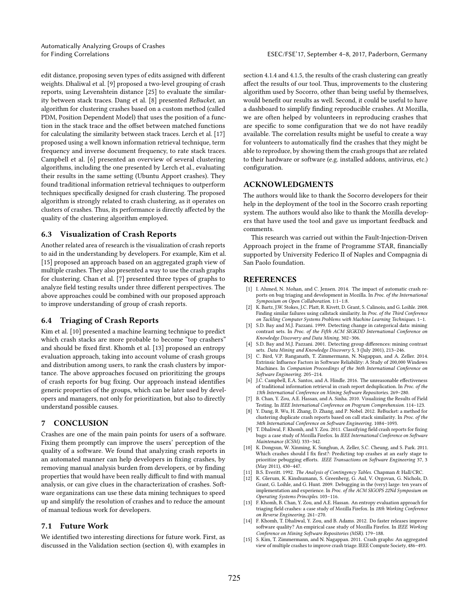Automatically Analyzing Groups of Crashes

edit distance, proposing seven types of edits assigned with different weights. Dhaliwal et al. [\[9\]](#page-8-10) proposed a two-level grouping of crash reports, using Levenshtein distance [\[25\]](#page-9-12) to evaluate the similarity between stack traces. Dang et al. [\[8\]](#page-8-11) presented ReBucket, an algorithm for clustering crashes based on a custom method (called PDM, Position Dependent Model) that uses the position of a function in the stack trace and the offset between matched functions for calculating the similarity between stack traces. Lerch et al. [\[17\]](#page-9-13) proposed using a well known information retrieval technique, term frequency and inverse document frequency, to rate stack traces. Campbell et al. [\[6\]](#page-8-12) presented an overview of several clustering algorithms, including the one presented by Lerch et al., evaluating their results in the same setting (Ubuntu Apport crashes). They found traditional information retrieval techniques to outperform techniques specifically designed for crash clustering. The proposed algorithm is strongly related to crash clustering, as it operates on clusters of crashes. Thus, its performance is directly affected by the quality of the clustering algorithm employed.

## 6.3 Visualization of Crash Reports

Another related area of research is the visualization of crash reports to aid in the understanding by developers. For example, Kim et al. [\[15\]](#page-8-13) proposed an approach based on an aggregated graph view of multiple crashes. They also presented a way to use the crash graphs for clustering. Chan et al. [\[7\]](#page-8-14) presented three types of graphs to analyze field testing results under three different perspectives. The above approaches could be combined with our proposed approach to improve understanding of group of crash reports.

## 6.4 Triaging of Crash Reports

Kim et al. [\[10\]](#page-8-7) presented a machine learning technique to predict which crash stacks are more probable to become "top crashers" and should be fixed first. Khomh et al. [\[13\]](#page-8-15) proposed an entropy evaluation approach, taking into account volume of crash groups and distribution among users, to rank the crash clusters by importance. The above approaches focused on prioritizing the groups of crash reports for bug fixing. Our approach instead identifies generic properties of the groups, which can be later used by developers and managers, not only for prioritization, but also to directly understand possible causes.

## <span id="page-8-2"></span>7 CONCLUSION

Crashes are one of the main pain points for users of a software. Fixing them promptly can improve the users' perception of the quality of a software. We found that analyzing crash reports in an automated manner can help developers in fixing crashes, by removing manual analysis burden from developers, or by finding properties that would have been really difficult to find with manual analysis, or can give clues in the characterization of crashes. Software organizations can use these data mining techniques to speed up and simplify the resolution of crashes and to reduce the amount of manual tedious work for developers.

## 7.1 Future Work

We identified two interesting directions for future work. First, as discussed in the Validation section (section [4\)](#page-6-0), with examples in

section [4.1.4](#page-6-2) and [4.1.5,](#page-6-3) the results of the crash clustering can greatly affect the results of our tool. Thus, improvements to the clustering algorithm used by Socorro, other than being useful by themselves, would benefit our results as well. Second, it could be useful to have a dashboard to simplify finding reproducible crashes. At Mozilla, we are often helped by volunteers in reproducing crashes that are specific to some configuration that we do not have readily available. The correlation results might be useful to create a way for volunteers to automatically find the crashes that they might be able to reproduce, by showing them the crash groups that are related to their hardware or software (e.g. installed addons, antivirus, etc.) configuration.

## ACKNOWLEDGMENTS

The authors would like to thank the Socorro developers for their help in the deployment of the tool in the Socorro crash reporting system. The authors would also like to thank the Mozilla developers that have used the tool and gave us important feedback and comments.

This research was carried out within the Fault-Injection-Driven Approach project in the frame of Programme STAR, financially supported by University Federico II of Naples and Compagnia di San Paolo foundation.

#### **REFERENCES**

- <span id="page-8-0"></span>[1] I. Ahmed, N. Mohan, and C. Jensen. 2014. The impact of automatic crash reports on bug triaging and development in Mozilla. In Proc. of the International Symposium on Open Collaboration. 1:1–1:8.
- <span id="page-8-9"></span>[2] K. Bartz, J.W. Stokes, J.C. Platt, R. Kivett, D. Grant, S. Calinoiu, and G. Loihle. 2008. Finding similar failures using callstack similarity. In Proc. of the Third Conference on Tackling Computer Systems Problems with Machine Learning Techniques. 1–1.
- <span id="page-8-3"></span>[3] S.D. Bay and M.J. Pazzani. 1999. Detecting change in categorical data: mining contrast sets. In Proc. of the Fifth ACM SIGKDD International Conference on Knowledge Discovery and Data Mining. 302–306.
- <span id="page-8-4"></span>[4] S.D. Bay and M.J. Pazzani. 2001. Detecting group differences: mining contrast sets. Data Mining and Knowledge Discovery 5, 3 (July 2001), 213–246.
- <span id="page-8-8"></span>[5] C. Bird, V.P. Ranganath, T. Zimmermann, N. Nagappan, and A. Zeller. 2014. Extrinsic Influence Factors in Software Reliability: A Study of 200,000 Windows Machines. In Companion Proceedings of the 36th International Conference on Software Engineering. 205–214.
- <span id="page-8-12"></span>[6] J.C. Campbell, E.A. Santos, and A. Hindle. 2016. The unreasonable effectiveness of traditional information retrieval in crash report deduplication. In Proc. of the 13th International Conference on Mining Software Repositories. 269–280.
- <span id="page-8-14"></span>[7] B. Chan, Y. Zou, A.E. Hassan, and A. Sinha. 2010. Visualizing the Results of Field Testing. In IEEE International Conference on Program Comprehension. 114–123.
- <span id="page-8-11"></span>[8] Y. Dang, R. Wu, H. Zhang, D. Zhang, and P. Nobel. 2012. ReBucket: a method for clustering duplicate crash reports based on call stack similarity. In Proc. of the 34th International Conference on Software Engineering. 1084–1093.
- <span id="page-8-10"></span>[9] T. Dhaliwal, F. Khomh, and Y. Zou. 2011. Classifying field crash reports for fixing bugs: a case study of Mozilla Firefox. In IEEE International Conference on Software Maintenance (ICSM). 333–342.
- <span id="page-8-7"></span>[10] K. Dongsun, W. Xinming, K. Sunghun, A. Zeller, S.C. Cheung, and S. Park. 2011. Which crashes should I fix first?: Predicting top crashes at an early stage to prioritize pebugging efforts. IEEE Transactions on Software Engineering 37, 3 (May 2011), 430–447.
- <span id="page-8-5"></span>[11] B.S. Everitt. 1992. The Analysis of Contingency Tables. Chapman & Hall/CRC.
- <span id="page-8-1"></span>[12] K. Glerum, K. Kinshumann, S. Greenberg, G. Aul, V. Orgovan, G. Nichols, D. Grant, G. Loihle, and G. Hunt. 2009. Debugging in the (very) large: ten years of implementation and experience. In Proc. of the ACM SIGOPS 22Nd Symposium on Operating Systems Principles. 103–116.
- <span id="page-8-15"></span>[13] F. Khomh, B. Chan, Y. Zou, and A.E. Hassan. An entropy evaluation approach for triaging field crashes: a case study of Mozilla Firefox. In 18th Working Conference on Reverse Engineering. 261–270.
- <span id="page-8-6"></span>[14] F. Khomh, T. Dhaliwal, Y. Zou, and B. Adams. 2012. Do faster releases improve software quality? An empirical case study of Mozilla Firefox. In IEEE Working Conference on Mining Software Repositories (MSR). 179–188.
- <span id="page-8-13"></span>[15] S. Kim, T. Zimmermann, and N. Nagappan. 2011. Crash graphs: An aggregated view of multiple crashes to improve crash triage. IEEE Compute Society, 486–493.